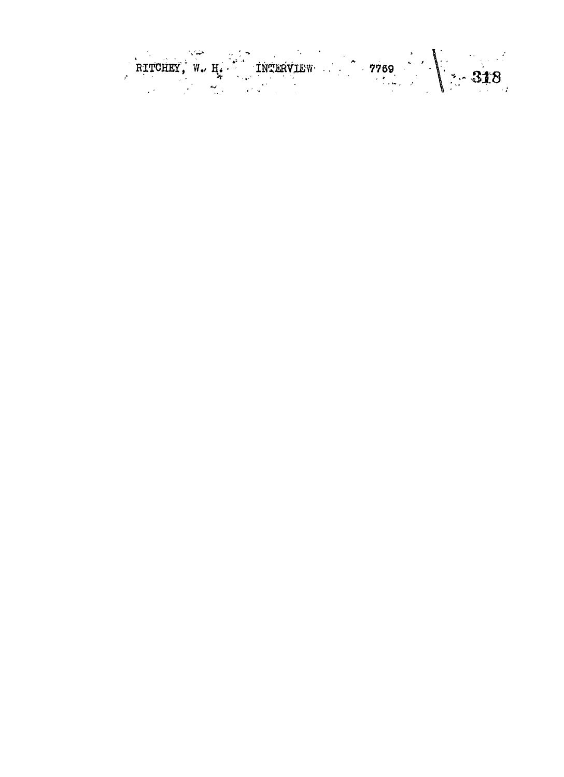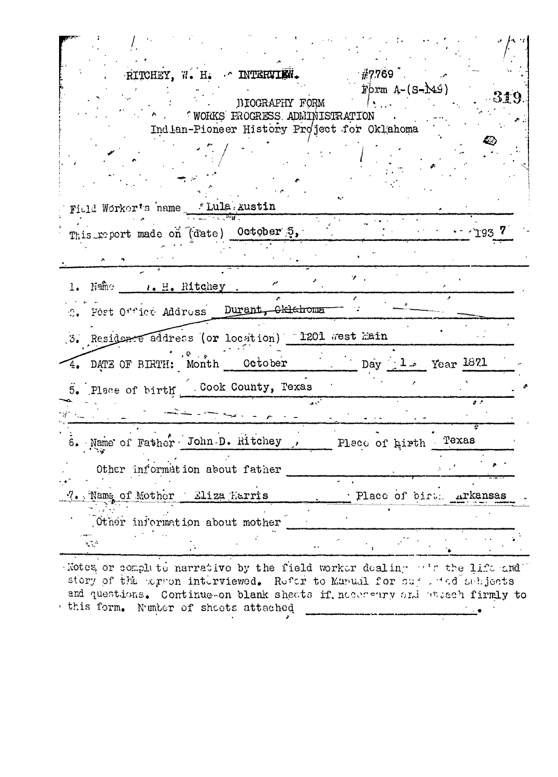|                                                                                                                                                                                                                                                                                                                                                                                        | RITCHEY, W. H. & INTERVIEW.   |                | $\pm 7.769$ .                               |       |                         |
|----------------------------------------------------------------------------------------------------------------------------------------------------------------------------------------------------------------------------------------------------------------------------------------------------------------------------------------------------------------------------------------|-------------------------------|----------------|---------------------------------------------|-------|-------------------------|
|                                                                                                                                                                                                                                                                                                                                                                                        |                               |                | Form $A-(S-M9)$                             |       |                         |
|                                                                                                                                                                                                                                                                                                                                                                                        |                               | BIOGRAPHY FORM |                                             |       | -319                    |
|                                                                                                                                                                                                                                                                                                                                                                                        | WORKS FROGRESS ADMINISTRATION |                |                                             |       |                         |
|                                                                                                                                                                                                                                                                                                                                                                                        |                               |                | Indian-Pioneer History Project for Oklahoma |       |                         |
|                                                                                                                                                                                                                                                                                                                                                                                        |                               |                |                                             |       |                         |
|                                                                                                                                                                                                                                                                                                                                                                                        |                               |                |                                             |       |                         |
|                                                                                                                                                                                                                                                                                                                                                                                        |                               |                |                                             |       |                         |
|                                                                                                                                                                                                                                                                                                                                                                                        |                               |                |                                             |       |                         |
| Field Worker's name flula austin                                                                                                                                                                                                                                                                                                                                                       |                               |                |                                             |       |                         |
| This report made on (date) October 5,                                                                                                                                                                                                                                                                                                                                                  |                               |                |                                             |       | $\cdots$ $\cdots$ 193 7 |
|                                                                                                                                                                                                                                                                                                                                                                                        |                               |                |                                             |       |                         |
|                                                                                                                                                                                                                                                                                                                                                                                        |                               |                |                                             |       |                         |
| 1. $N^{\text{aff}}$ $\qquad \qquad$ $\qquad \qquad$ $\qquad \qquad$ $\qquad \qquad$ $\qquad \qquad$ $\qquad \qquad$ $\qquad \qquad$ $\qquad \qquad$ $\qquad \qquad$ $\qquad \qquad$ $\qquad \qquad$ $\qquad \qquad$ $\qquad \qquad$ $\qquad \qquad$ $\qquad \qquad$ $\qquad$ $\qquad \qquad$ $\qquad$ $\qquad$ $\qquad$ $\qquad$ $\qquad$ $\qquad$ $\qquad$ $\qquad$ $\qquad$ $\qquad$ |                               |                | γ.                                          |       |                         |
| 2. Fost Office Address Durant, Oklahoma                                                                                                                                                                                                                                                                                                                                                |                               |                |                                             |       |                         |
| 3. Residence address (or location) 1201 west hain                                                                                                                                                                                                                                                                                                                                      |                               |                |                                             |       |                         |
| 4. DATE OF BIRTH: Month October                                                                                                                                                                                                                                                                                                                                                        |                               |                | $\frac{1}{2}$ Day $\frac{1}{2}$ Year 1871   |       |                         |
| 5. Place of birth Cook County, Texas                                                                                                                                                                                                                                                                                                                                                   |                               |                |                                             |       |                         |
|                                                                                                                                                                                                                                                                                                                                                                                        |                               |                |                                             |       | $\mathcal{L}$           |
| 6. Name of Father John D. Ritchey                                                                                                                                                                                                                                                                                                                                                      |                               |                | Place of hirth                              | Texas |                         |
| Other information about father                                                                                                                                                                                                                                                                                                                                                         |                               |                |                                             |       |                         |
| 7. Name of Mother Eliza Harris                                                                                                                                                                                                                                                                                                                                                         |                               |                | Place of birt. Arkansas                     |       |                         |
| Other information about mother                                                                                                                                                                                                                                                                                                                                                         |                               |                |                                             |       |                         |
| र देखें                                                                                                                                                                                                                                                                                                                                                                                |                               |                |                                             |       |                         |

Notes or complete narrative by the field worker dealing of the life and story of the arron interviewed. Refer to Manual for sure red schjects and questions. Continue-on blank sheets if, necessary and stach firmly to this form. Number of sheets attached .<br>الاست التي يتم المرض المجموع بن المجموع المجموع المجموع المجموع المجموع المجموع المجموع المجموع المجموع المجموع<br>المجموع المجموع المجموع المجموع المجموع المجموع المجموع المجموع المجموع المجموع المجموع المجموع المجموع الم  $\frac{1}{2}$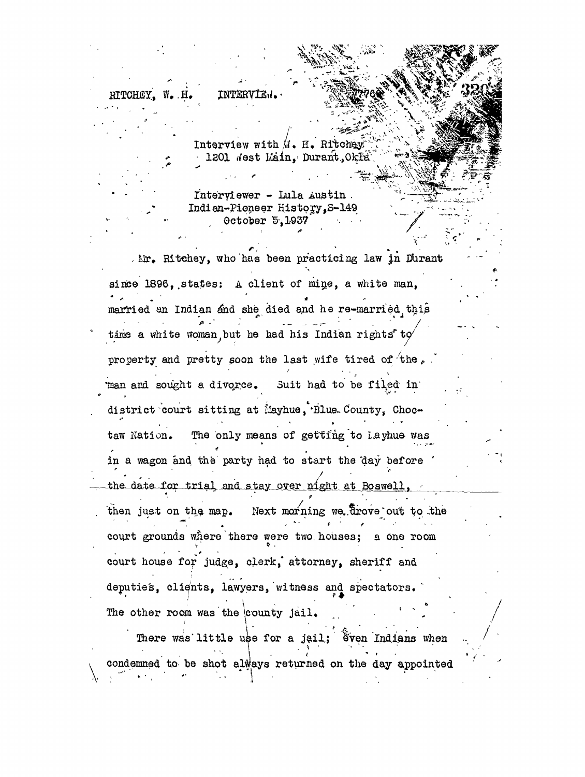**INTERVIEW** 

Interview with  $M$ . H. Ritchey 1201 Nest Main. Durant Okla

Interviewer - Lula Austin. Indian-Pioneer History, S-149 October 5,1937

Mr. Ritchey, who has been practicing law in Durant since 1896, states: A client of mine, a white man, married an Indian and she died and he re-married this time a white woman but he had his Indian rights to property and pretty soon the last wife tired of the. man and sought a divorce. Suit had to be filed in district court sitting at Mayhue, Blue County, Choc-The only means of getting to layhue was taw Nation. in a wagon and the party had to start the day before the date for trial and stay over night at Boswell, then just on the map. Next morning we drove out to the court grounds where there were two houses; a one room court house for judge, clerk, attorney, sheriff and deputies, clients, lawyers, witness and spectators. The other room was the county jail.

There was little use for a jail; Sven Indians when condemned to be shot always returned on the day appointed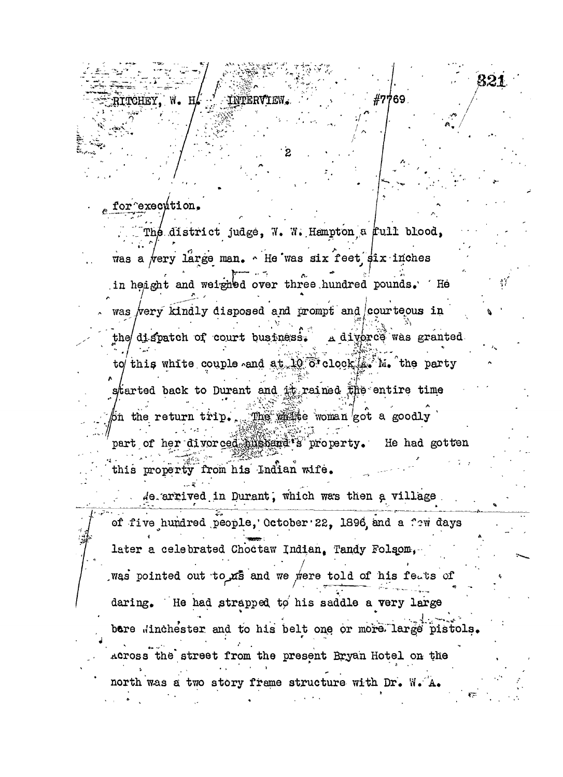**TCHRY** 

## for execution.

. The district judge, W. W. Hampton a  $full$  blood, was a very large man.  $\sim$  He was six feet  $\sin x$  inches in height and weighed over three, hundred pounds. 'He was very kindly disposed and prompt and courteous in the dispatch of court business. A diverce was granted to this white couple and at 10 o'clock  $\mathbb{A}^N$ . the party **I** iarted back to Durant  $\begin{bmatrix} 1 & 1 & 1 \\ 1 & 1 & 1 \\ 1 & 1 & 1 \end{bmatrix}$ started back to Durant and it rained the entire time . The  $m$ ite woman got a goodly

 $\overline{\mathbf{2}}$ 

#7769.

821

 $'$  part of her divorced  $\lim_{s\to s}$  and  $s$  property. He had gotten this property from his Indian wife.

 $A$ e. arrived in Durant, which was then a village of five hundred people,' October' 22, 1896 and a few days later a celebrated Choctaw Indian. Tandy Folsom, was pointed out to xs and we were told of his feats of daring. He had strapped to his saddle a very large bere dinchester and to his belt one or more large pistols, Across the street from the present Bryan Hotel on the north was a two story frame structure with Dr, W.'A,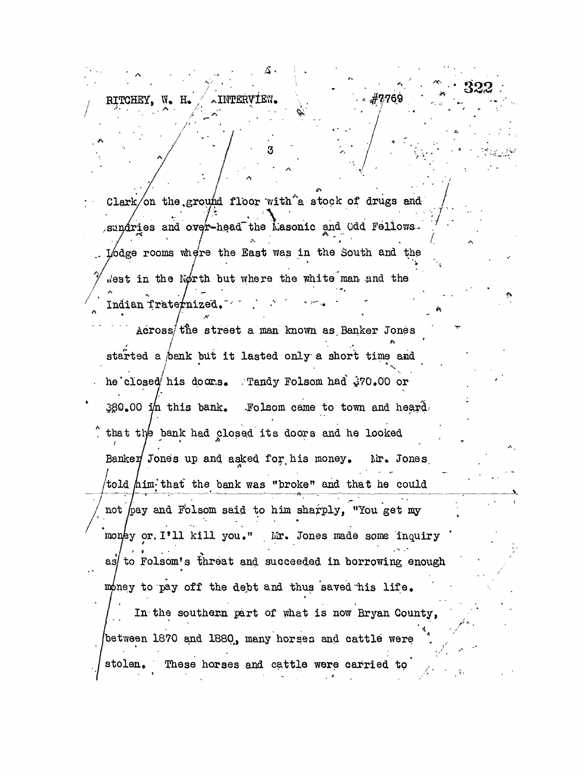**/ ,** RITCHEY. W. H. ANTERV

Clark/on the.ground floor with  $\hat{a}$  stock of drugs and sundries and over-head the Masonic and Odd Fellows- $\frac{4}{\pi}$  , we in the South and the dge rooms Whe're the Bast was in the South and the west in the North but where the white man and the Indian Traternized.

**OO**

/ Across/t'ne street a man known as. Banker Jones started a (bank but it lasted only a short time and he closed his doors. Tandy Folsom had  $270.00$  or  $380.00$  in this bank. .Folsom came to town and heard. that the bank had closed its doors and he looked  $\mathcal{L} = \mathcal{L} \mathcal{L} = \mathcal{L} \mathcal{L} \mathcal{L} = \mathcal{L} \mathcal{L} \mathcal{L} \mathcal{L} = \mathcal{L} \mathcal{L} \mathcal{L} \mathcal{L} = \mathcal{L} \mathcal{L} \mathcal{L} \mathcal{L} \mathcal{L} \mathcal{L} = \mathcal{L} \mathcal{L} \mathcal{L} \mathcal{L} \mathcal{L} \mathcal{L} \mathcal{L} \mathcal{L} \mathcal{L} \mathcal{L} \mathcal{L} \mathcal{L} \mathcal{L} \mathcal{L} \mathcal{L} \mathcal{$ banked jones up and asked for, his money, Mr, Jones, told him that the bank was "broke" and that he could not hay and Folsom said to him sharply, "You get my money or I'll kill you." Mr. Jones made some inquiry as to Folsom's threat and succeeded in borrowing enough as  $\mathcal{A}$  as  $\mathcal{A}$  threat and succeeded in borrowing enough enough enough  $\mathcal{A}$  $U_{\rm eff}$  to pay off the debt and thus saved  $\sigma$  the debt and thus saved  $\sigma$  . Thus satisfies the debt and thus life . In the southern part of  $\mathbf{x}$  is now Bryan County,  $\mathbf{x}$  is now Bryan County,  $\mathbf{x}$ IDBIWAAN I870 ANG I880. many horges ang cattl**e w**ara /betvfeen 1870 and 1880^, many horses and cattle were , . stolen. These horses and cattle were carried to'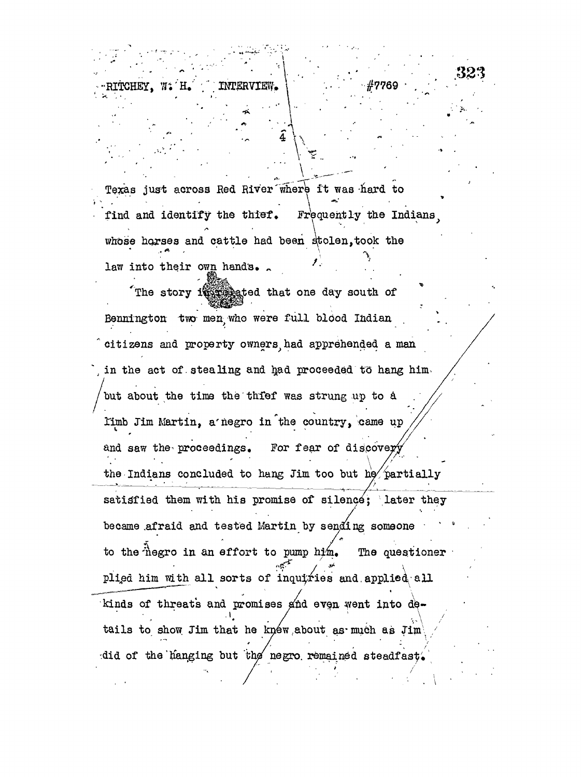**- f "", ^ ,**

Texas just across Red River where it was -hard to >•-.•••• • - . • *. \ \*••.-. '* find and identify the thief. Frequently the Indians whose horses and cattle had been stolen, took the law into their own hand's.  *f*

**'**  $\frac{1}{2}$ 

**4 \ \**

The story in the story if the south of Bennington two men who were full blood Indian citizens and property owners had apprehended a man in the act of stealing and had proceeded to hang him. but about the time the thfef was strung up to a limb Jim Martin, a'negro in'the country, came up and saw the proceedings. For fear of discovery the Indians concluded to hang Jim too but he partially satisfied them with his promise of silence; later they became .afraid and tested Martin by sending someone to the hegro in an effort to pump him. The questioner plied him with all sorts of inquiries and applied all kinds of threats and promises and even went into de kinds of the threats and promises fitnd evolutions for  $\mathcal{A}$ tails to show Jim that he knew about as much as Jim did of the hanging but the negro remained steadfast.